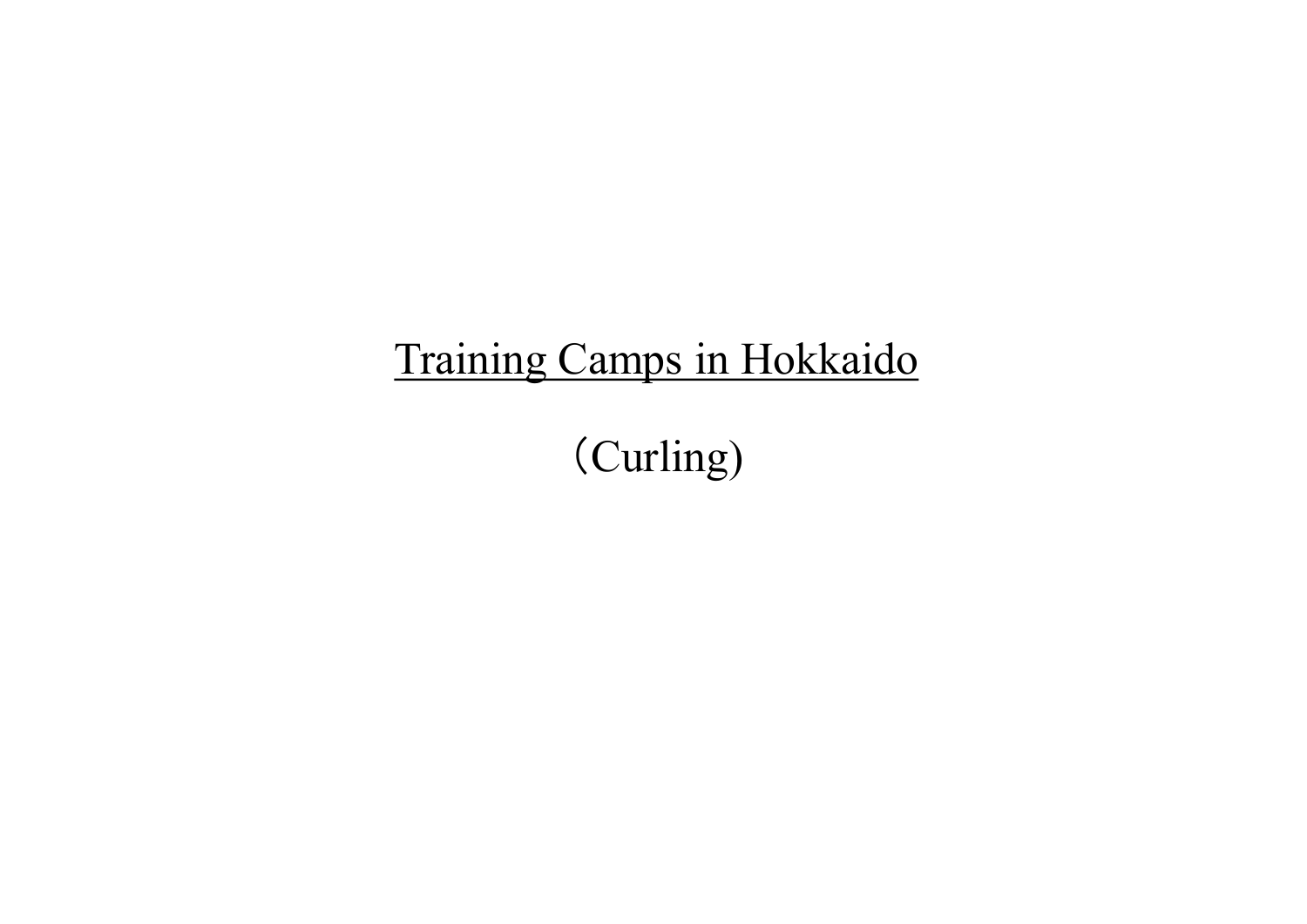# Training Camps in Hokkaido

(Curling)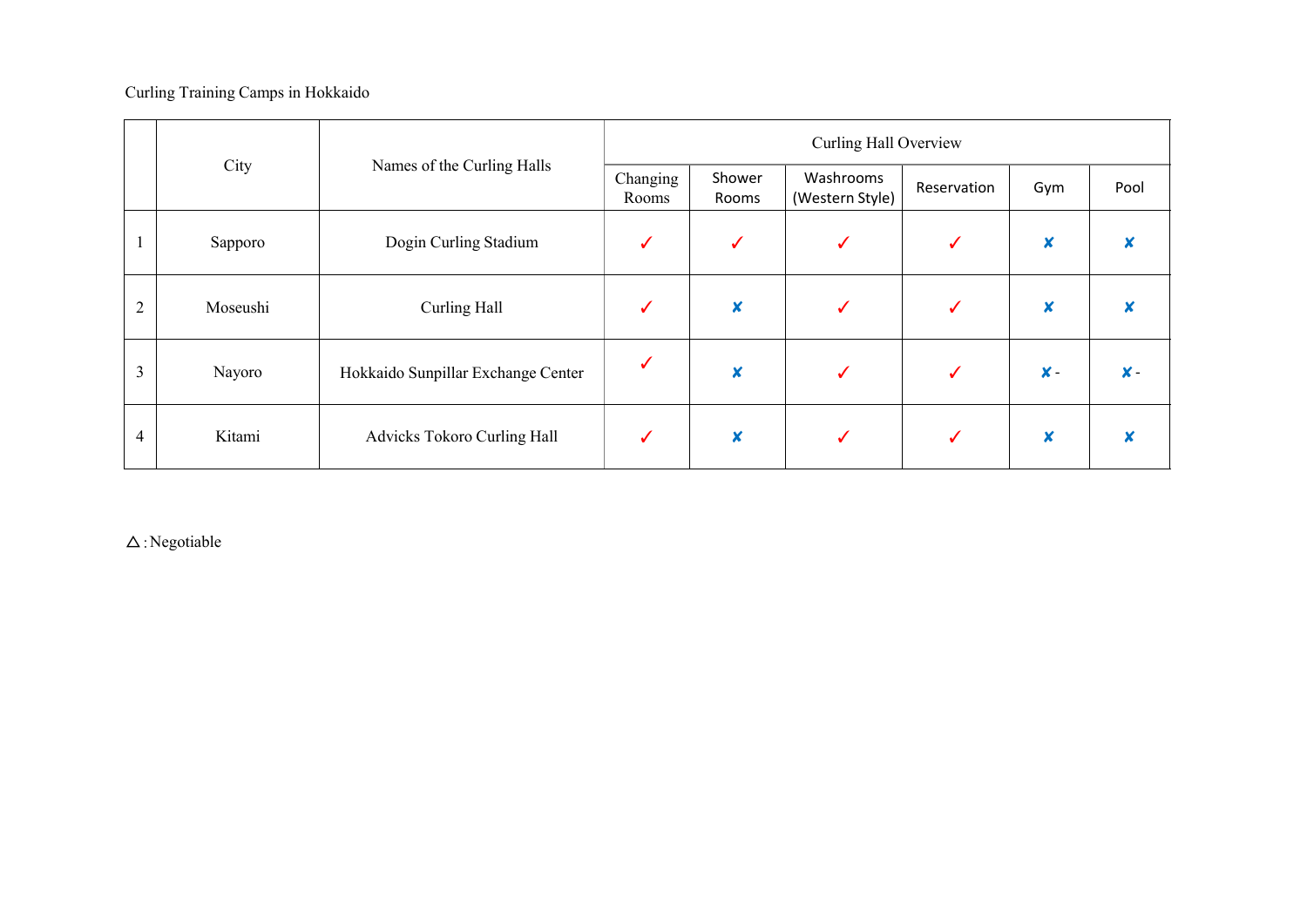### Curling Training Camps in Hokkaido

|                |          | Names of the Curling Halls         | <b>Curling Hall Overview</b> |                           |                              |              |                  |      |
|----------------|----------|------------------------------------|------------------------------|---------------------------|------------------------------|--------------|------------------|------|
|                | City     |                                    | Changing<br>Rooms            | Shower<br>Rooms           | Washrooms<br>(Western Style) | Reservation  | Gym              | Pool |
|                | Sapporo  | Dogin Curling Stadium              | ✓                            | ✓                         | ✓                            | ✓            | X                |      |
| $\overline{2}$ | Moseushi | Curling Hall                       | ✓                            | $\boldsymbol{\mathsf{x}}$ | ✔                            | ✓            | X                |      |
| 3              | Nayoro   | Hokkaido Sunpillar Exchange Center | ✓                            | $\boldsymbol{x}$          | ✓                            | $\checkmark$ | $\boldsymbol{x}$ |      |
| $\overline{4}$ | Kitami   | <b>Advicks Tokoro Curling Hall</b> | $\checkmark$                 | $\boldsymbol{\mathsf{x}}$ | ✓                            | ✓            | ×                |      |

△:Negotiable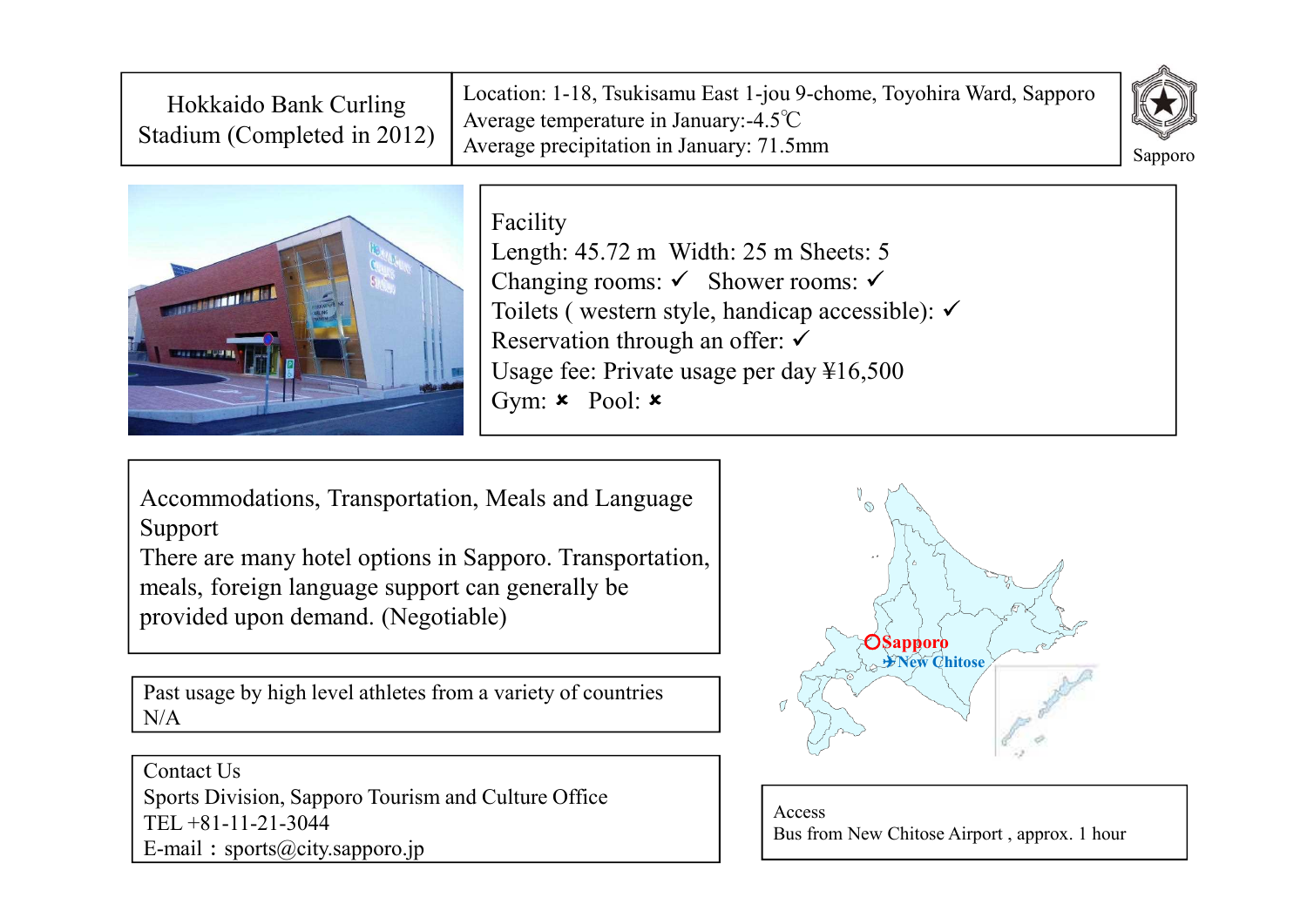| Hokkaido Bank Curling<br>Stadium (Completed in 2012) | Location: 1-18, Tsukisamu East 1-jou 9-chome, Toyohira Ward, Sapporo<br>Average temperature in January:-4.5 $\degree$ C<br>Average precipitation in January: 71.5mm |  |  |
|------------------------------------------------------|---------------------------------------------------------------------------------------------------------------------------------------------------------------------|--|--|
|                                                      | Facility                                                                                                                                                            |  |  |



Facility Length: 45.72 m Width: 25 m Sheets: 5 Changing rooms:  $\checkmark$  Shower rooms:  $\checkmark$ Toilets (western style, handicap accessible):  $\checkmark$ Reservation through an offer:  $\checkmark$ Usage fee: Private usage per day ¥16,500 Gym:  $\times$  Pool:  $\times$ 

Accommodations, Transportation, Meals and Language Support

There are many hotel options in Sapporo. Transportation, meals, foreign language support can generally be provided upon demand. (Negotiable)

Past usage by high level athletes from a variety of countries N/A

Contact Us Sports Division, Sapporo Tourism and Culture Office TEL +81-11-21-3044 E-mail: sports@city.sapporo.jp



Access Bus from New Chitose Airport , approx. 1 hour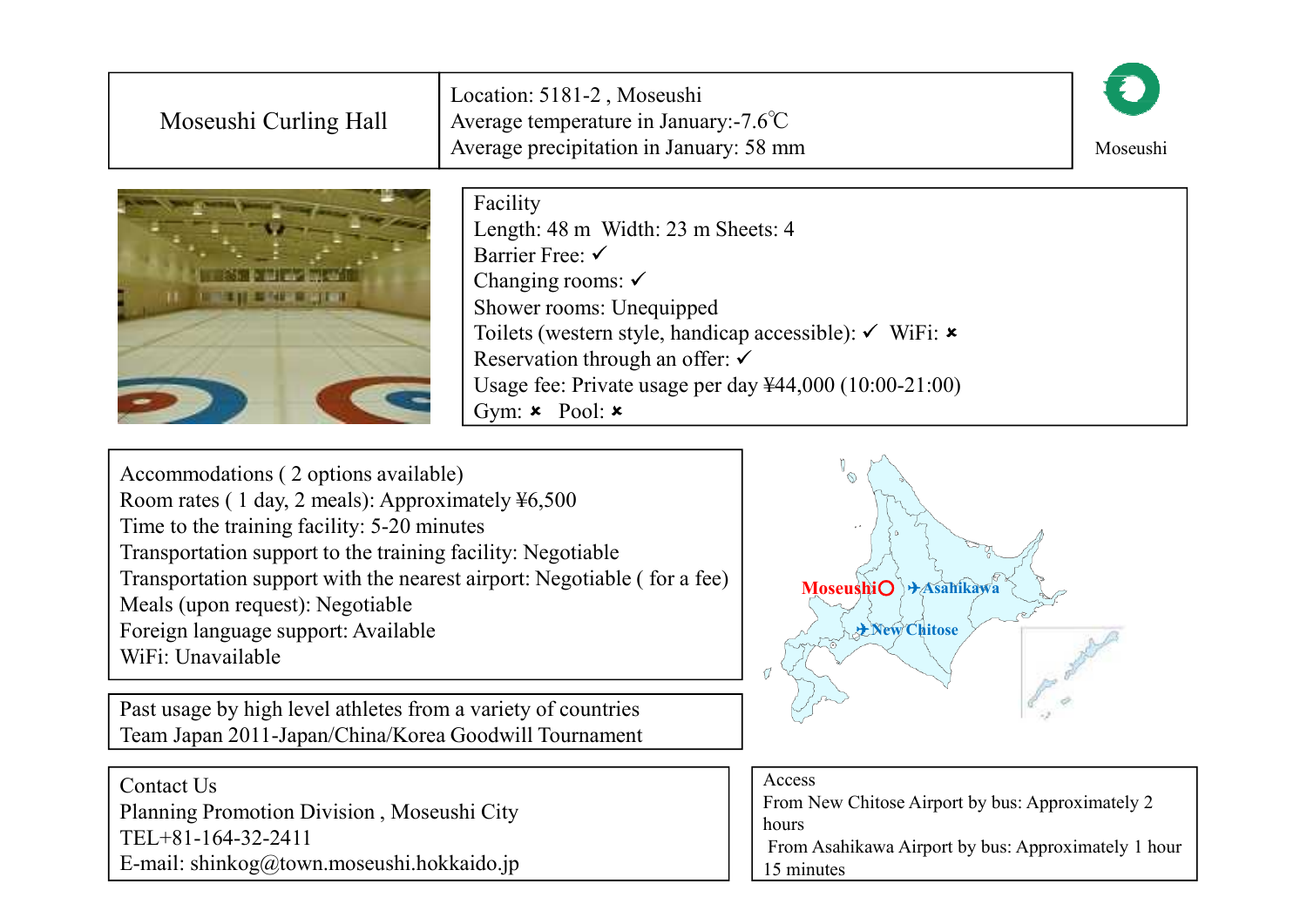| Location: 5181-2, Moseushi<br>Average temperature in January:- $7.6^{\circ}\text{C}$<br>Moseushi Curling Hall<br>Average precipitation in January: 58 mm |                                                                                                                                                                                                                                                                                                                                                                           | Moseushi |
|----------------------------------------------------------------------------------------------------------------------------------------------------------|---------------------------------------------------------------------------------------------------------------------------------------------------------------------------------------------------------------------------------------------------------------------------------------------------------------------------------------------------------------------------|----------|
|                                                                                                                                                          | Facility<br>Length: 48 m Width: 23 m Sheets: 4<br>Barrier Free: ✓<br>Changing rooms: $\checkmark$<br>Shower rooms: Unequipped<br>Toilets (western style, handicap accessible): $\checkmark$ WiFi: $\checkmark$<br>Reservation through an offer: $\checkmark$<br>Usage fee: Private usage per day $44,000$ (10:00-21:00)<br>Gym: $\mathbf{\times}$ Pool: $\mathbf{\times}$ |          |

Accommodations ( 2 options available) Room rates ( 1 day, 2 meals): Approximately ¥6,500 Time to the training facility: 5-20 minutes Transportation support to the training facility: Negotiable Transportation support with the nearest airport: Negotiable ( for a fee) Meals (upon request): Negotiable Foreign language support: Available WiFi: Unavailable

Past usage by high level athletes from a variety of countries Team Japan 2011-Japan/China/Korea Goodwill Tournament

### Contact Us

Planning Promotion Division , Moseushi City TEL+81-164-32-2411 E-mail: shinkog@town.moseushi.hokkaido.jp



| Access                                              |
|-----------------------------------------------------|
| From New Chitose Airport by bus: Approximately 2    |
| hours                                               |
| From Asahikawa Airport by bus: Approximately 1 hour |
| 15 minutes                                          |
|                                                     |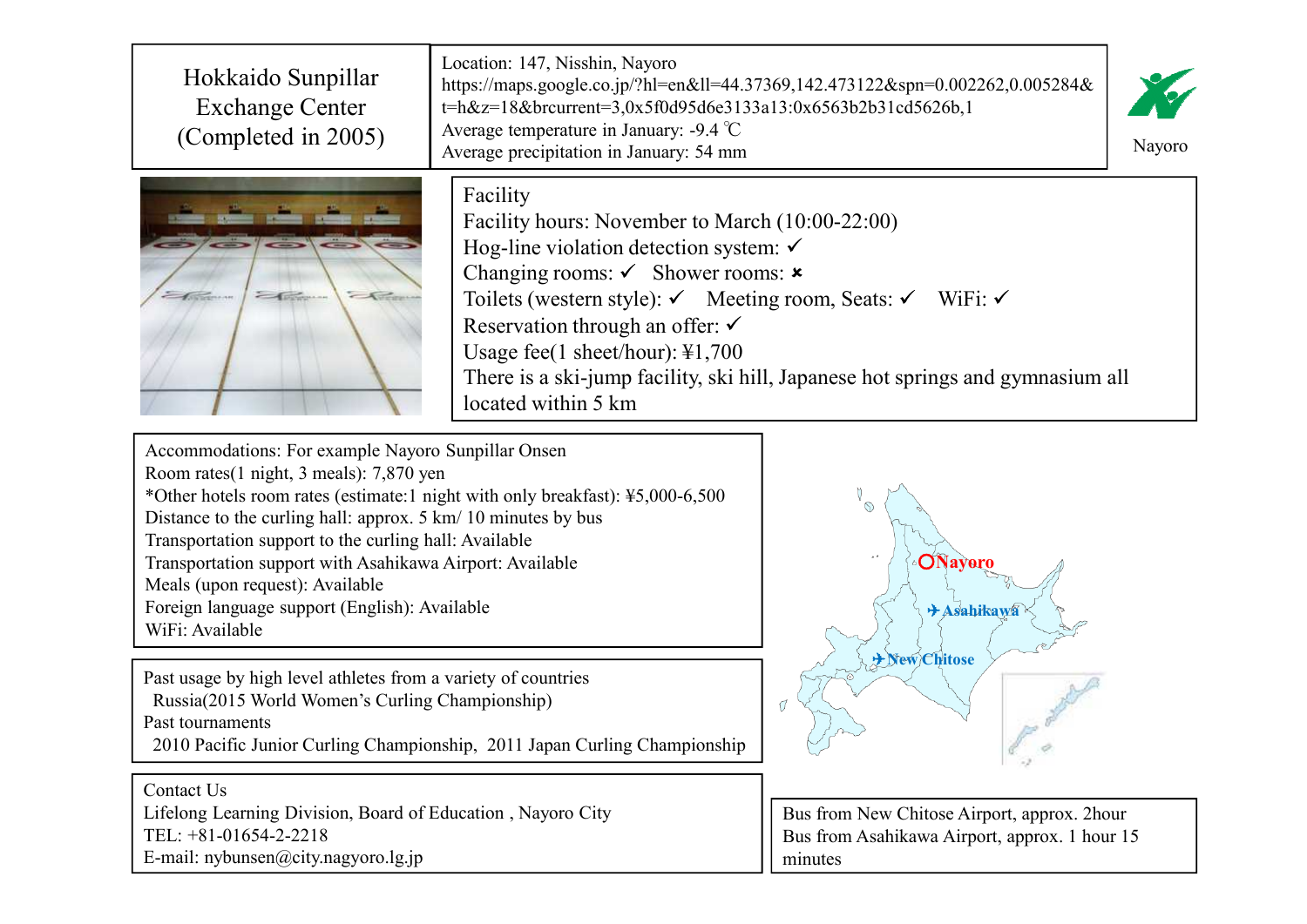| Facility<br>Facility hours: November to March (10:00-22:00)<br>Hog-line violation detection system: $\checkmark$<br>Changing rooms: $\checkmark$ Shower rooms: $\checkmark$<br>$=$<br>E Channel<br>Toilets (western style): $\checkmark$ Meeting room, Seats: $\checkmark$<br>WiFi: $\checkmark$<br>$\overline{\mathcal{F}}$<br>Reservation through an offer: $\checkmark$<br>Usage fee(1 sheet/hour): $\yen 1,700$<br>There is a ski-jump facility, ski hill, Japanese hot springs and gymnasium all<br>located within 5 km | Hokkaido Sunpillar<br><b>Exchange Center</b><br>(Completed in 2005) | Location: 147, Nisshin, Nayoro<br>https://maps.google.co.jp/?hl=en≪=44.37369,142.473122&spn=0.002262,0.005284&<br>t=h&z=18&brcurrent=3,0x5f0d95d6e3133a13:0x6563b2b31cd5626b,1<br>Average temperature in January: -9.4 $^{\circ}$ C<br>Average precipitation in January: 54 mm | Nayoro |
|------------------------------------------------------------------------------------------------------------------------------------------------------------------------------------------------------------------------------------------------------------------------------------------------------------------------------------------------------------------------------------------------------------------------------------------------------------------------------------------------------------------------------|---------------------------------------------------------------------|--------------------------------------------------------------------------------------------------------------------------------------------------------------------------------------------------------------------------------------------------------------------------------|--------|
|                                                                                                                                                                                                                                                                                                                                                                                                                                                                                                                              |                                                                     |                                                                                                                                                                                                                                                                                |        |

Accommodations: For example Nayoro Sunpillar Onsen Room rates(1 night, 3 meals): 7,870 yen \*Other hotels room rates (estimate:1 night with only breakfast): ¥5,000-6,500 Distance to the curling hall: approx. 5 km/ 10 minutes by bus Transportation support to the curling hall: Available Transportation support with Asahikawa Airport: Available Meals (upon request): Available Foreign language support (English): Available WiFi: Available

Past usage by high level athletes from a variety of countries Russia(2015 World Women's Curling Championship) Past tournaments 2010 Pacific Junior Curling Championship, 2011 Japan Curling Championship

#### Contact Us

Lifelong Learning Division, Board of Education , Nayoro City TEL: +81-01654-2-2218 E-mail: nybunsen@city.nagyoro.lg.jp



Bus from New Chitose Airport, approx. 2hour Bus from Asahikawa Airport, approx. 1 hour 15 minutes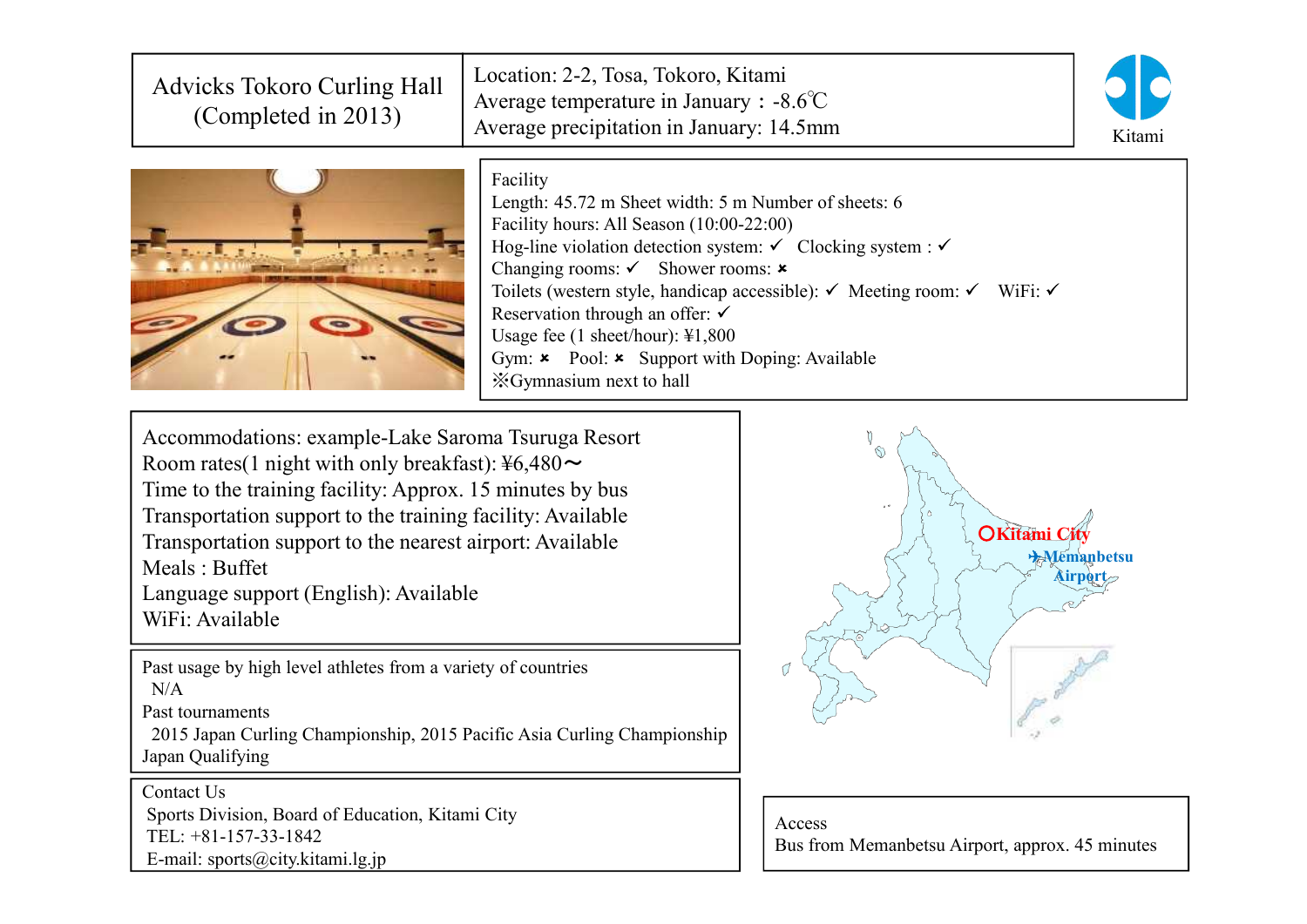| <b>Advicks Tokoro Curling Hall</b><br>(Completed in 2013) | Location: 2-2, Tosa, Tokoro, Kitami<br>Average temperature in January : $-8.6^{\circ}\text{C}$<br>Average precipitation in January: 14.5mm                                                                                                                                                                                                                                                                                                                                                                                                                                    | Kitami |
|-----------------------------------------------------------|-------------------------------------------------------------------------------------------------------------------------------------------------------------------------------------------------------------------------------------------------------------------------------------------------------------------------------------------------------------------------------------------------------------------------------------------------------------------------------------------------------------------------------------------------------------------------------|--------|
|                                                           | Facility<br>Length: 45.72 m Sheet width: 5 m Number of sheets: 6<br>Facility hours: All Season (10:00-22:00)<br>Hog-line violation detection system: $\checkmark$ Clocking system : $\checkmark$<br>Changing rooms: $\checkmark$ Shower rooms: $\checkmark$<br>Toilets (western style, handicap accessible): $\checkmark$ Meeting room: $\checkmark$ WiFi: $\checkmark$<br>Reservation through an offer: $\checkmark$<br>Usage fee $(1 \text{ sheet/hour})$ : \frac{4}{1,800}<br>Gym: $\star$ Pool: $\star$ Support with Doping: Available<br><b>X</b> Gymnasium next to hall |        |

Accommodations: example-Lake Saroma Tsuruga Resort Room rates(1 night with only breakfast):  $46,480 \sim$ Time to the training facility: Approx. 15 minutes by bus Transportation support to the training facility: Available Transportation support to the nearest airport: Available Meals : Buffet Language support (English): Available WiFi: Available

Past usage by high level athletes from a variety of countries  $N/A$ Past tournaments 2015 Japan Curling Championship, 2015 Pacific Asia Curling Championship Japan Qualifying

Contact Us

Sports Division, Board of Education, Kitami City TEL: +81-157-33-1842 E-mail: sports@city.kitami.lg.jp



Access

Bus from Memanbetsu Airport, approx. 45 minutes